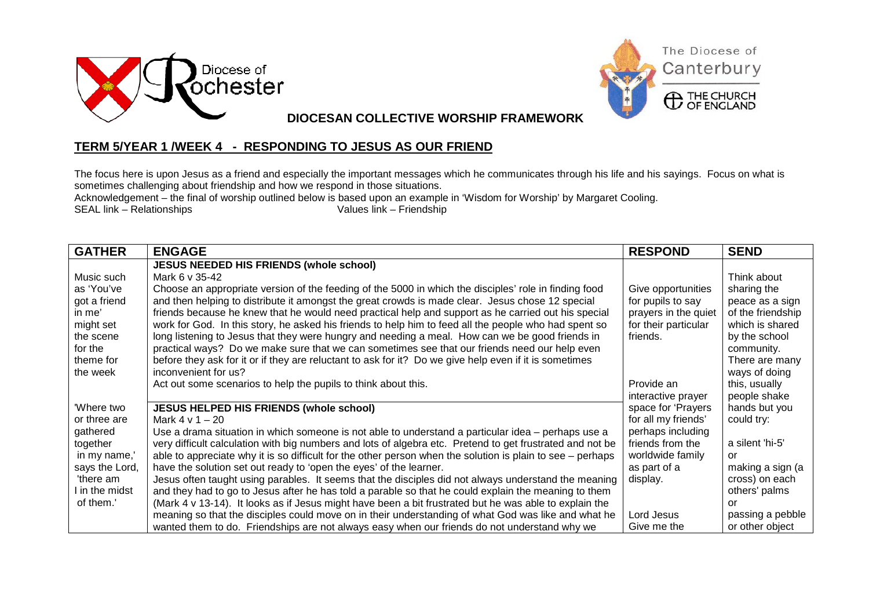



**DIOCESAN COLLECTIVE WORSHIP FRAMEWORK**

## **TERM 5/YEAR 1 /WEEK 4 - RESPONDING TO JESUS AS OUR FRIEND**

The focus here is upon Jesus as a friend and especially the important messages which he communicates through his life and his sayings. Focus on what is sometimes challenging about friendship and how we respond in those situations.

Acknowledgement – the final of worship outlined below is based upon an example in 'Wisdom for Worship' by Margaret Cooling.  $SEAL$  link – Relationships

| <b>GATHER</b>  | <b>ENGAGE</b>                                                                                              | <b>RESPOND</b>       | <b>SEND</b>       |
|----------------|------------------------------------------------------------------------------------------------------------|----------------------|-------------------|
|                | <b>JESUS NEEDED HIS FRIENDS (whole school)</b>                                                             |                      |                   |
| Music such     | Mark 6 v 35-42                                                                                             |                      | Think about       |
| as 'You've     | Choose an appropriate version of the feeding of the 5000 in which the disciples' role in finding food      | Give opportunities   | sharing the       |
| got a friend   | and then helping to distribute it amongst the great crowds is made clear. Jesus chose 12 special           | for pupils to say    | peace as a sign   |
| in me'         | friends because he knew that he would need practical help and support as he carried out his special        | prayers in the quiet | of the friendship |
| might set      | work for God. In this story, he asked his friends to help him to feed all the people who had spent so      | for their particular | which is shared   |
| the scene      | long listening to Jesus that they were hungry and needing a meal. How can we be good friends in            | friends.             | by the school     |
| for the        | practical ways? Do we make sure that we can sometimes see that our friends need our help even              |                      | community.        |
| theme for      | before they ask for it or if they are reluctant to ask for it? Do we give help even if it is sometimes     |                      | There are many    |
| the week       | inconvenient for us?                                                                                       |                      | ways of doing     |
|                | Act out some scenarios to help the pupils to think about this.                                             | Provide an           | this, usually     |
|                |                                                                                                            | interactive prayer   | people shake      |
| 'Where two     | <b>JESUS HELPED HIS FRIENDS (whole school)</b>                                                             | space for 'Prayers   | hands but you     |
| or three are   | Mark $4 \vee 1 - 20$                                                                                       | for all my friends'  | could try:        |
| gathered       | Use a drama situation in which someone is not able to understand a particular idea - perhaps use a         | perhaps including    |                   |
| together       | very difficult calculation with big numbers and lots of algebra etc. Pretend to get frustrated and not be  | friends from the     | a silent 'hi-5'   |
| in my name,'   | able to appreciate why it is so difficult for the other person when the solution is plain to see - perhaps | worldwide family     | or                |
| says the Lord, | have the solution set out ready to 'open the eyes' of the learner.                                         | as part of a         | making a sign (a  |
| 'there am      | Jesus often taught using parables. It seems that the disciples did not always understand the meaning       | display.             | cross) on each    |
| I in the midst | and they had to go to Jesus after he has told a parable so that he could explain the meaning to them       |                      | others' palms     |
| of them.'      | (Mark 4 v 13-14). It looks as if Jesus might have been a bit frustrated but he was able to explain the     |                      | or                |
|                | meaning so that the disciples could move on in their understanding of what God was like and what he        | Lord Jesus           | passing a pebble  |
|                | wanted them to do. Friendships are not always easy when our friends do not understand why we               | Give me the          | or other object   |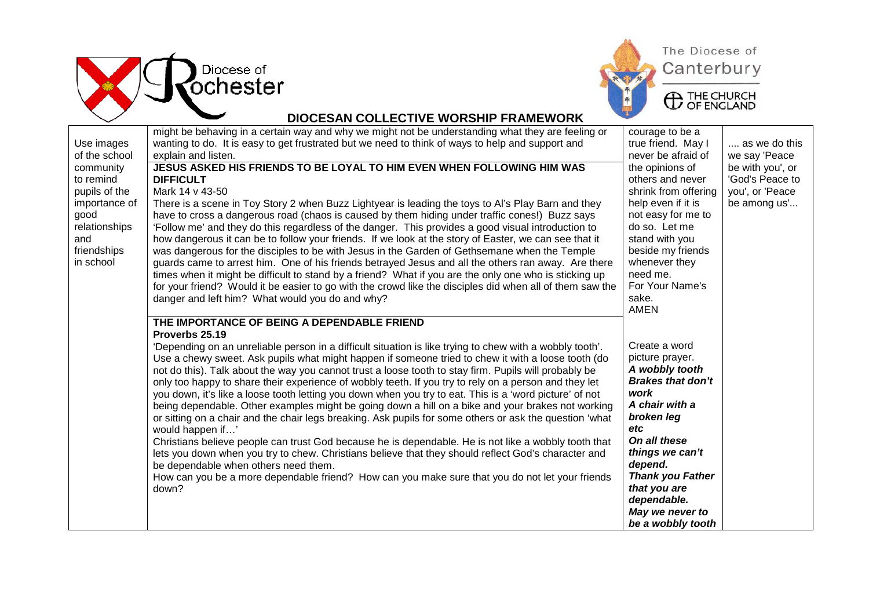



## **DIOCESAN COLLECTIVE WORSHIP FRAMEWORK**

|               | might be behaving in a certain way and why we might not be understanding what they are feeling or        | courage to be a          |                  |
|---------------|----------------------------------------------------------------------------------------------------------|--------------------------|------------------|
| Use images    | wanting to do. It is easy to get frustrated but we need to think of ways to help and support and         | true friend. May I       | as we do this    |
| of the school | explain and listen.                                                                                      | never be afraid of       | we say 'Peace    |
| community     | JESUS ASKED HIS FRIENDS TO BE LOYAL TO HIM EVEN WHEN FOLLOWING HIM WAS                                   | the opinions of          | be with you', or |
| to remind     | <b>DIFFICULT</b>                                                                                         | others and never         | 'God's Peace to  |
| pupils of the | Mark 14 v 43-50                                                                                          | shrink from offering     | you', or 'Peace  |
| importance of | There is a scene in Toy Story 2 when Buzz Lightyear is leading the toys to AI's Play Barn and they       | help even if it is       | be among us'     |
| good          | have to cross a dangerous road (chaos is caused by them hiding under traffic cones!) Buzz says           | not easy for me to       |                  |
| relationships | 'Follow me' and they do this regardless of the danger. This provides a good visual introduction to       | do so. Let me            |                  |
| and           | how dangerous it can be to follow your friends. If we look at the story of Easter, we can see that it    | stand with you           |                  |
| friendships   | was dangerous for the disciples to be with Jesus in the Garden of Gethsemane when the Temple             | beside my friends        |                  |
| in school     | guards came to arrest him. One of his friends betrayed Jesus and all the others ran away. Are there      | whenever they            |                  |
|               | times when it might be difficult to stand by a friend? What if you are the only one who is sticking up   | need me.                 |                  |
|               | for your friend? Would it be easier to go with the crowd like the disciples did when all of them saw the | For Your Name's          |                  |
|               | danger and left him? What would you do and why?                                                          | sake.                    |                  |
|               |                                                                                                          | <b>AMEN</b>              |                  |
|               | THE IMPORTANCE OF BEING A DEPENDABLE FRIEND                                                              |                          |                  |
|               | Proverbs 25.19                                                                                           |                          |                  |
|               | 'Depending on an unreliable person in a difficult situation is like trying to chew with a wobbly tooth'. | Create a word            |                  |
|               | Use a chewy sweet. Ask pupils what might happen if someone tried to chew it with a loose tooth (do       | picture prayer.          |                  |
|               | not do this). Talk about the way you cannot trust a loose tooth to stay firm. Pupils will probably be    | A wobbly tooth           |                  |
|               | only too happy to share their experience of wobbly teeth. If you try to rely on a person and they let    | <b>Brakes that don't</b> |                  |
|               | you down, it's like a loose tooth letting you down when you try to eat. This is a 'word picture' of not  | work                     |                  |
|               | being dependable. Other examples might be going down a hill on a bike and your brakes not working        | A chair with a           |                  |
|               | or sitting on a chair and the chair legs breaking. Ask pupils for some others or ask the question 'what  | broken leg               |                  |
|               | would happen if'                                                                                         | etc                      |                  |
|               | Christians believe people can trust God because he is dependable. He is not like a wobbly tooth that     | On all these             |                  |
|               | lets you down when you try to chew. Christians believe that they should reflect God's character and      | things we can't          |                  |
|               | be dependable when others need them.                                                                     | depend.                  |                  |
|               | How can you be a more dependable friend? How can you make sure that you do not let your friends          | <b>Thank you Father</b>  |                  |
|               | down?                                                                                                    | that you are             |                  |
|               |                                                                                                          | dependable.              |                  |
|               |                                                                                                          | May we never to          |                  |
|               |                                                                                                          | be a wobbly tooth        |                  |